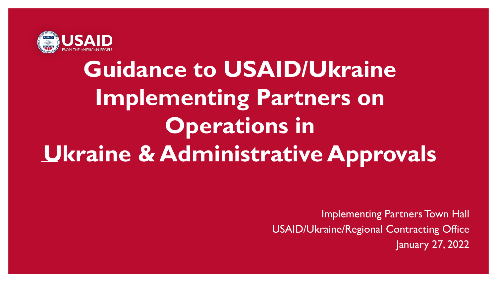

# **Guidance to USAID/Ukraine Implementing Partners on Operations in Ukraine & Administrative Approvals**

Implementing Partners Town Hall USAID/Ukraine/Regional Contracting Office January 27, 2022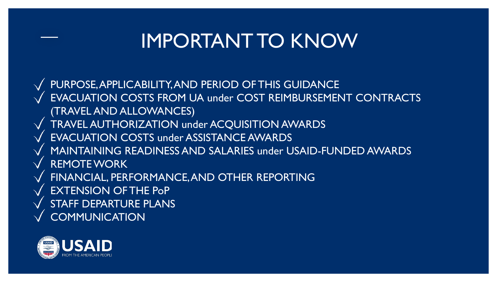### IMPORTANT TO KNOW

PURPOSE, APPLICABILITY, AND PERIOD OF THIS GUIDANCE EVACUATION COSTS FROM UA under COST REIMBURSEMENT CONTRACTS (TRAVEL AND ALLOWANCES) TRAVEL AUTHORIZATION under ACQUISITION AWARDS EVACUATION COSTS under ASSISTANCE AWARDS MAINTAINING READINESS AND SALARIES under USAID-FUNDED AWARDS REMOTE WORK FINANCIAL, PERFORMANCE, AND OTHER REPORTING EXTENSION OF THE PoP STAFF DEPARTURE PLANS **COMMUNICATION** 

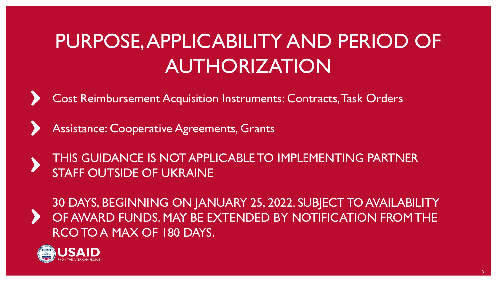# PURPOSE, APPLICABILITY AND PERIOD OF AUTHORIZATION

Cost Reimbursement Acquisition Instruments: Contracts, Task Orders

Assistance: Cooperative Agreements, Grants

THIS GUIDANCE IS NOT APPLICABLE TO IMPLEMENTING PARTNER STAFF OUTSIDE OF UKRAINE

30 DAYS, BEGINNING ON JANUARY 25, 2022. SUBJECT TO AVAILABILITY OF AWARD FUNDS. MAY BE EXTENDED BY NOTIFICATION FROM THE RCO TO A MAX OF 180 DAYS.

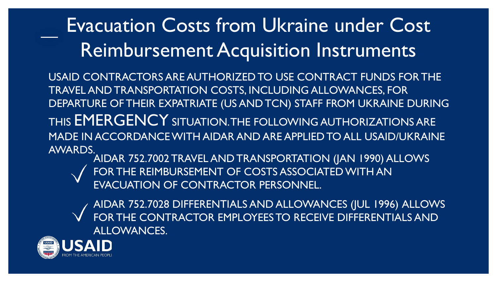# Evacuation Costs from Ukraine under Cost Reimbursement Acquisition Instruments

USAID CONTRACTORS ARE AUTHORIZED TO USE CONTRACT FUNDS FOR THE TRAVEL AND TRANSPORTATION COSTS, INCLUDING ALLOWANCES, FOR DEPARTURE OF THEIR EXPATRIATE (US AND TCN) STAFF FROM UKRAINE DURING THIS EMERGENCY SITUATION. THE FOLLOWING AUTHORIZATIONS ARE MADE IN ACCORDANCE WITH AIDAR AND ARE APPLIED TO ALL USAID/UKRAINE AWARDS.

AIDAR 752.7002 TRAVEL AND TRANSPORTATION (JAN 1990) ALLOWS FOR THE REIMBURSEMENT OF COSTS ASSOCIATED WITH AN EVACUATION OF CONTRACTOR PERSONNEL.



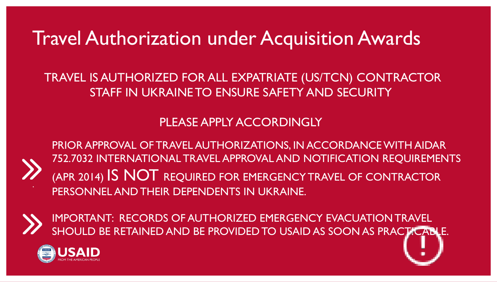Travel Authorization under Acquisition Awards

TRAVEL IS AUTHORIZED FOR ALL EXPATRIATE (US/TCN) CONTRACTOR STAFF IN UKRAINE TO ENSURE SAFETY AND SECURITY

#### PLEASE APPLY ACCORDINGLY

PRIOR APPROVAL OF TRAVEL AUTHORIZATIONS, IN ACCORDANCE WITH AIDAR 752.7032 INTERNATIONAL TRAVEL APPROVAL AND NOTIFICATION REQUIREMENTS (APR 2014) IS NOT REQUIRED FOR EMERGENCY TRAVEL OF CONTRACTOR PERSONNEL AND THEIR DEPENDENTS IN UKRAINE.

IMPORTANT: RECORDS OF AUTHORIZED EMERGENCY EVACUATION TRAVEL SHOULD BE RETAINED AND BE PROVIDED TO USAID AS SOON AS PRACTICABLE.



.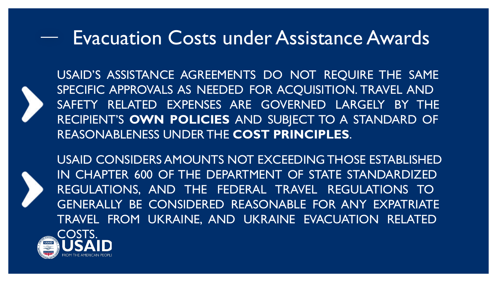### Evacuation Costs under Assistance Awards

USAID'S ASSISTANCE AGREEMENTS DO NOT REQUIRE THE SAME SPECIFIC APPROVALS AS NEEDED FOR ACQUISITION. TRAVEL AND SAFETY RELATED EXPENSES ARE GOVERNED LARGELY BY THE RECIPIENT'S **OWN POLICIES** AND SUBJECT TO A STANDARD OF REASONABLENESS UNDER THE **COST PRINCIPLES**.



USAID CONSIDERS AMOUNTS NOT EXCEEDING THOSE ESTABLISHED IN CHAPTER 600 OF THE DEPARTMENT OF STATE STANDARDIZED REGULATIONS, AND THE FEDERAL TRAVEL REGULATIONS TO GENERALLY BE CONSIDERED REASONABLE FOR ANY EXPATRIATE TRAVEL FROM UKRAINE, AND UKRAINE EVACUATION RELATED

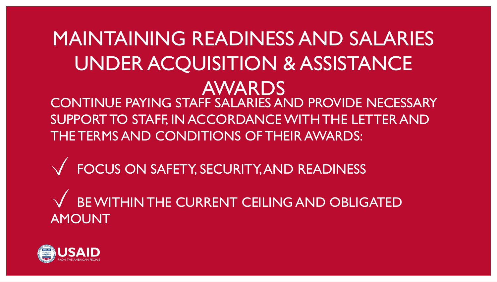#### MAINTAINING READINESS AND SALARIES UNDER ACQUISITION & ASSISTANCE AWARDS CONTINUE PAYING STAFF SALARIES AND PROVIDE NECESSARY SUPPORT TO STAFF, IN ACCORDANCE WITH THE LETTER AND THE TERMS AND CONDITIONS OF THEIR AWARDS:

 $\sqrt{\phantom{a}}$  FOCUS ON SAFETY, SECURITY, AND READINESS

BE WITHIN THE CURRENT CEILING AND OBLIGATED AMOUNT

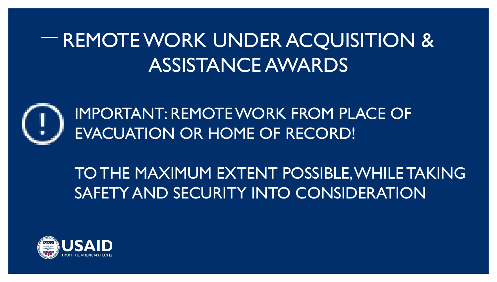# REMOTE WORK UNDER ACQUISITION & ASSISTANCE AWARDS



IMPORTANT: REMOTE WORK FROM PLACE OF EVACUATION OR HOME OF RECORD!

#### TO THE MAXIMUM EXTENT POSSIBLE, WHILE TAKING SAFETY AND SECURITY INTO CONSIDERATION

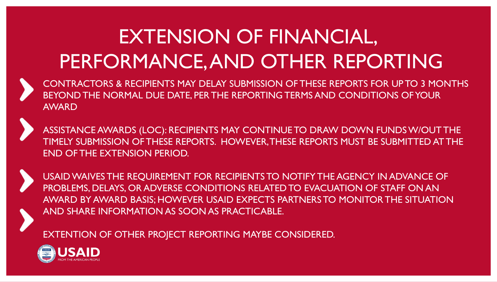# EXTENSION OF FINANCIAL, PERFORMANCE, AND OTHER REPORTING

CONTRACTORS & RECIPIENTS MAY DELAY SUBMISSION OF THESE REPORTS FOR UP TO 3 MONTHS BEYOND THE NORMAL DUE DATE, PER THE REPORTING TERMS AND CONDITIONS OF YOUR AWARD

ASSISTANCE AWARDS (LOC): RECIPIENTS MAY CONTINUE TO DRAW DOWN FUNDS W/OUT THE TIMELY SUBMISSION OF THESE REPORTS. HOWEVER, THESE REPORTS MUST BE SUBMITTED AT THE END OF THE EXTENSION PERIOD.



USAID WAIVES THE REQUIREMENT FOR RECIPIENTS TO NOTIFY THE AGENCY IN ADVANCE OF PROBLEMS, DELAYS, OR ADVERSE CONDITIONS RELATED TO EVACUATION OF STAFF ON AN AWARD BY AWARD BASIS; HOWEVER USAID EXPECTS PARTNERS TO MONITOR THE SITUATION AND SHARE INFORMATION AS SOON AS PRACTICABLE.

EXTENTION OF OTHER PROJECT REPORTING MAYBE CONSIDERED.

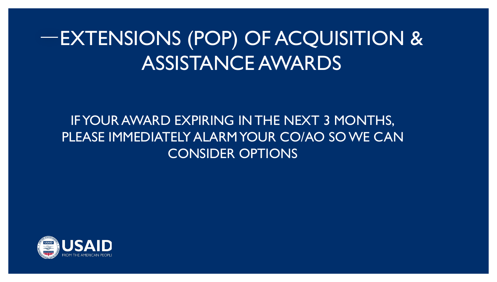## EXTENSIONS (POP) OF ACQUISITION & ASSISTANCE AWARDS

#### IF YOUR AWARD EXPIRING IN THE NEXT 3 MONTHS, PLEASE IMMEDIATELY ALARM YOUR CO/AO SO WE CAN CONSIDER OPTIONS

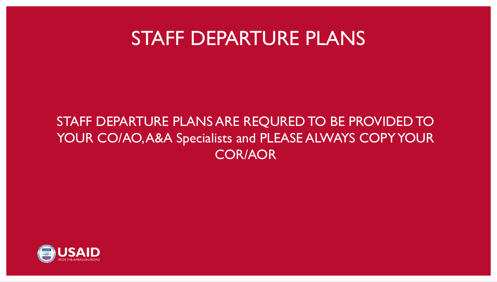#### STAFF DEPARTURE PLANS

#### STAFF DEPARTURE PLANS ARE REQURED TO BE PROVIDED TO YOUR CO/AO, A&A Specialists and PLEASE ALWAYS COPY YOUR COR/AOR

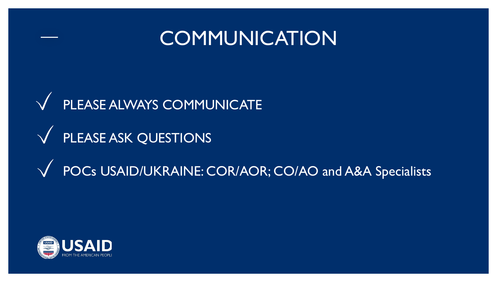### **COMMUNICATION**

# $\sqrt{ }$  PLEASE ALWAYS COMMUNICATE  $\sqrt{ }$  PLEASE ASK QUESTIONS  $\sqrt{$  POCs USAID/UKRAINE: COR/AOR; CO/AO and A&A Specialists

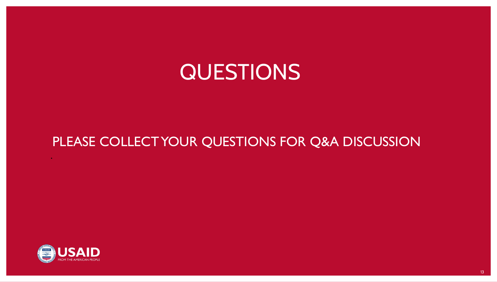# **QUESTIONS**

#### PLEASE COLLECT YOUR QUESTIONS FOR Q&A DISCUSSION



.